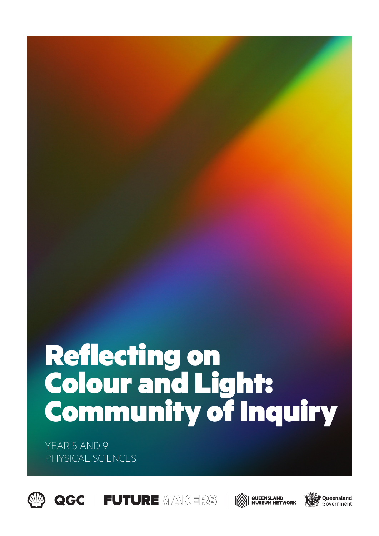# Reflecting on Colour and Light: Community of Inquiry

YEAR 5 AND 9 PHYSICAL SCIENCES





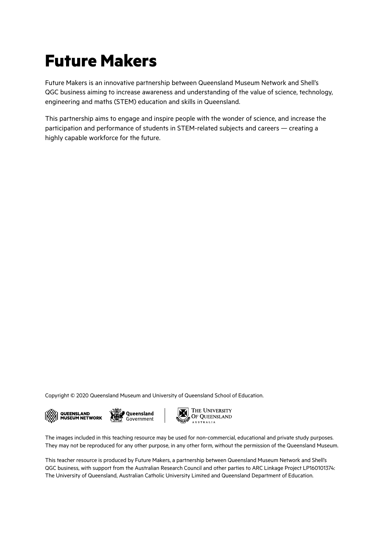# **Future Makers**

Future Makers is an innovative partnership between Queensland Museum Network and Shell's QGC business aiming to increase awareness and understanding of the value of science, technology, engineering and maths (STEM) education and skills in Queensland.

This partnership aims to engage and inspire people with the wonder of science, and increase the participation and performance of students in STEM-related subjects and careers — creating a highly capable workforce for the future.

Copyright © 2020 Queensland Museum and University of Queensland School of Education.







The images included in this teaching resource may be used for non-commercial, educational and private study purposes. They may not be reproduced for any other purpose, in any other form, without the permission of the Queensland Museum.

This teacher resource is produced by Future Makers, a partnership between Queensland Museum Network and Shell's QGC business, with support from the Australian Research Council and other parties to ARC Linkage Project LP160101374: The University of Queensland, Australian Catholic University Limited and Queensland Department of Education.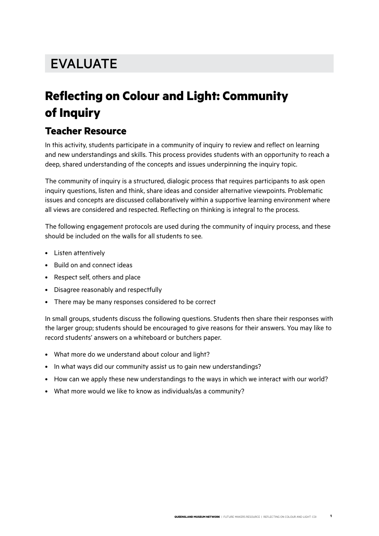## EVALUATE

### **Reflecting on Colour and Light: Community of Inquiry**

#### **Teacher Resource**

In this activity, students participate in a community of inquiry to review and reflect on learning and new understandings and skills. This process provides students with an opportunity to reach a deep, shared understanding of the concepts and issues underpinning the inquiry topic.

The community of inquiry is a structured, dialogic process that requires participants to ask open inquiry questions, listen and think, share ideas and consider alternative viewpoints. Problematic issues and concepts are discussed collaboratively within a supportive learning environment where all views are considered and respected. Reflecting on thinking is integral to the process.

The following engagement protocols are used during the community of inquiry process, and these should be included on the walls for all students to see.

- Listen attentively
- Build on and connect ideas
- Respect self, others and place
- Disagree reasonably and respectfully
- There may be many responses considered to be correct

In small groups, students discuss the following questions. Students then share their responses with the larger group; students should be encouraged to give reasons for their answers. You may like to record students' answers on a whiteboard or butchers paper.

- What more do we understand about colour and light?
- In what ways did our community assist us to gain new understandings?
- How can we apply these new understandings to the ways in which we interact with our world?
- What more would we like to know as individuals/as a community?